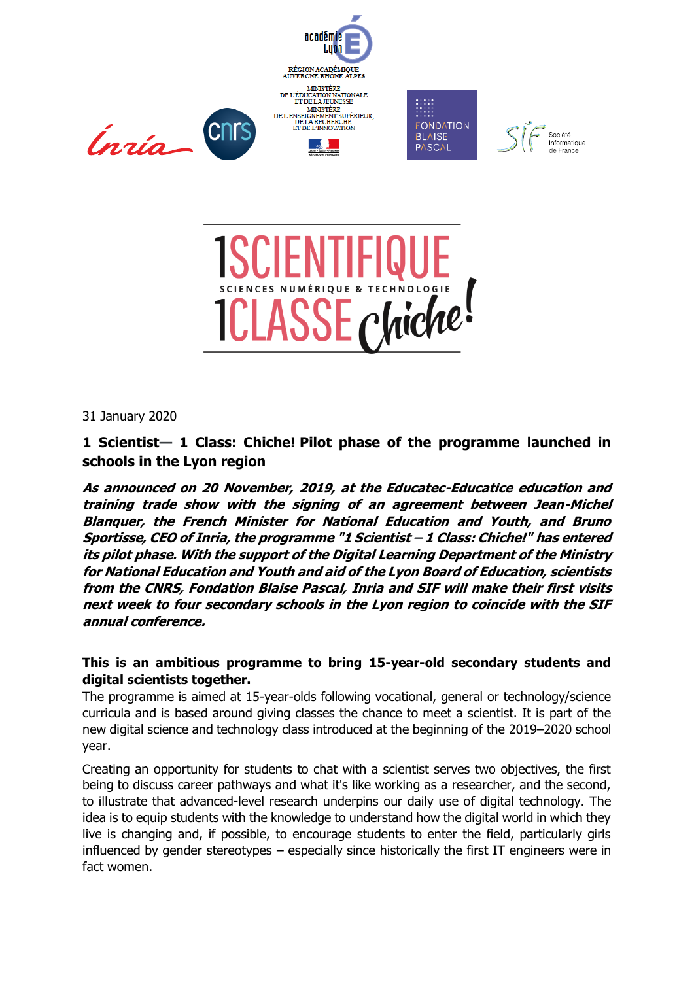



31 January 2020

**1 Scientist— 1 Class: Chiche! Pilot phase of the programme launched in schools in the Lyon region**

**As announced on 20 November, 2019, at the Educatec-Educatice education and training trade show with the signing of an agreement between Jean-Michel Blanquer, the French Minister for National Education and Youth, and Bruno Sportisse, CEO of Inria, the programme "1 Scientist – 1 Class: Chiche!" has entered its pilot phase. With the support of the Digital Learning Department of the Ministry for National Education and Youth and aid of the Lyon Board of Education, scientists from the CNRS, Fondation Blaise Pascal, Inria and SIF will make their first visits next week to four secondary schools in the Lyon region to coincide with the SIF annual conference.**

# **This is an ambitious programme to bring 15-year-old secondary students and digital scientists together.**

The programme is aimed at 15-year-olds following vocational, general or technology/science curricula and is based around giving classes the chance to meet a scientist. It is part of the new digital science and technology class introduced at the beginning of the 2019–2020 school year.

Creating an opportunity for students to chat with a scientist serves two objectives, the first being to discuss career pathways and what it's like working as a researcher, and the second, to illustrate that advanced-level research underpins our daily use of digital technology. The idea is to equip students with the knowledge to understand how the digital world in which they live is changing and, if possible, to encourage students to enter the field, particularly girls influenced by gender stereotypes – especially since historically the first IT engineers were in fact women.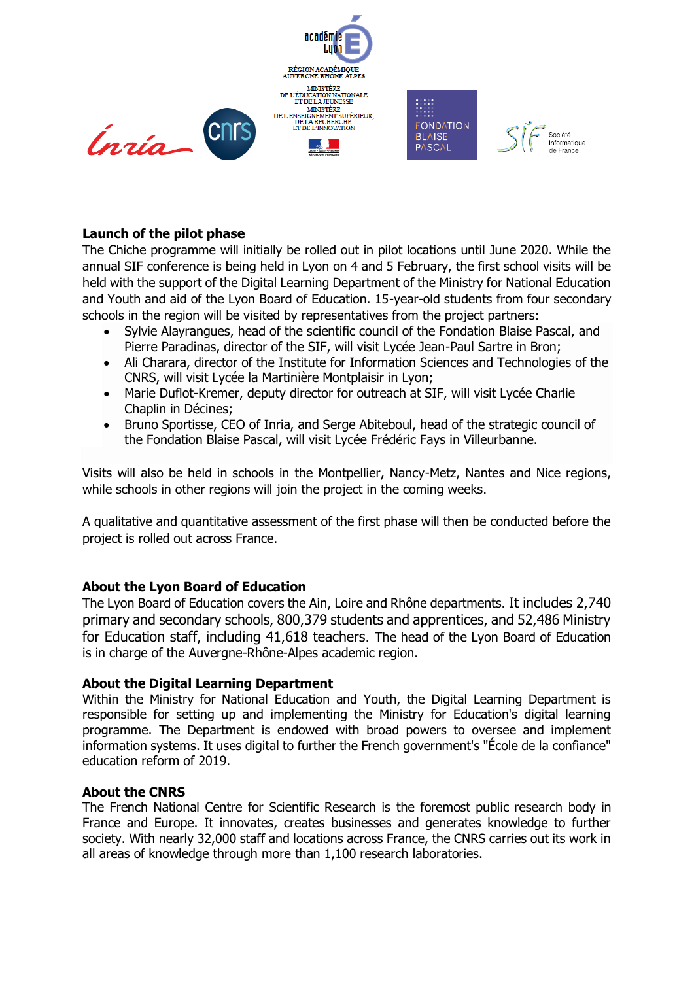

# **Launch of the pilot phase**

The Chiche programme will initially be rolled out in pilot locations until June 2020. While the annual SIF conference is being held in Lyon on 4 and 5 February, the first school visits will be held with the support of the Digital Learning Department of the Ministry for National Education and Youth and aid of the Lyon Board of Education. 15-year-old students from four secondary schools in the region will be visited by representatives from the project partners:

- Sylvie Alayrangues, head of the scientific council of the Fondation Blaise Pascal, and Pierre Paradinas, director of the SIF, will visit Lycée Jean-Paul Sartre in Bron;
- Ali Charara, director of the Institute for Information Sciences and Technologies of the CNRS, will visit Lycée la Martinière Montplaisir in Lyon;
- Marie Duflot-Kremer, deputy director for outreach at SIF, will visit Lycée Charlie Chaplin in Décines;
- Bruno Sportisse, CEO of Inria, and Serge Abiteboul, head of the strategic council of the Fondation Blaise Pascal, will visit Lycée Frédéric Fays in Villeurbanne.

Visits will also be held in schools in the Montpellier, Nancy-Metz, Nantes and Nice regions, while schools in other regions will join the project in the coming weeks.

A qualitative and quantitative assessment of the first phase will then be conducted before the project is rolled out across France.

## **About the Lyon Board of Education**

The Lyon Board of Education covers the Ain, Loire and Rhône departments. It includes 2,740 primary and secondary schools, 800,379 students and apprentices, and 52,486 Ministry for Education staff, including 41,618 teachers. The head of the Lyon Board of Education is in charge of the Auvergne-Rhône-Alpes academic region.

## **About the Digital Learning Department**

Within the Ministry for National Education and Youth, the Digital Learning Department is responsible for setting up and implementing the Ministry for Education's digital learning programme. The Department is endowed with broad powers to oversee and implement information systems. It uses digital to further the French government's "École de la confiance" education reform of 2019.

## **About the CNRS**

The French National Centre for Scientific Research is the foremost public research body in France and Europe. It innovates, creates businesses and generates knowledge to further society. With nearly 32,000 staff and locations across France, the CNRS carries out its work in all areas of knowledge through more than 1,100 research laboratories.